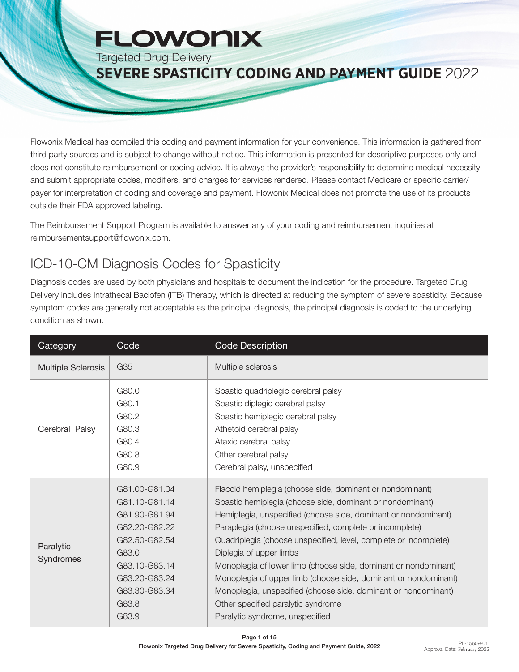# **FLOWONIX**

Targeted Drug Delivery

#### **SEVERE SPASTICITY CODING AND PAYMENT GUIDE** 2022

Flowonix Medical has compiled this coding and payment information for your convenience. This information is gathered from third party sources and is subject to change without notice. This information is presented for descriptive purposes only and does not constitute reimbursement or coding advice. It is always the provider's responsibility to determine medical necessity and submit appropriate codes, modifiers, and charges for services rendered. Please contact Medicare or specific carrier/ payer for interpretation of coding and coverage and payment. Flowonix Medical does not promote the use of its products outside their FDA approved labeling.

The Reimbursement Support Program is available to answer any of your coding and reimbursement inquiries at reimbursementsupport@flowonix.com.

### ICD-10-CM Diagnosis Codes for Spasticity

Diagnosis codes are used by both physicians and hospitals to document the indication for the procedure. Targeted Drug Delivery includes Intrathecal Baclofen (ITB) Therapy, which is directed at reducing the symptom of severe spasticity. Because symptom codes are generally not acceptable as the principal diagnosis, the principal diagnosis is coded to the underlying condition as shown.

| Category                  | Code                                                                                                                                                            | Code Description                                                                                                                                                                                                                                                                                                                                                                                                                                                                                                                                                                                                                    |
|---------------------------|-----------------------------------------------------------------------------------------------------------------------------------------------------------------|-------------------------------------------------------------------------------------------------------------------------------------------------------------------------------------------------------------------------------------------------------------------------------------------------------------------------------------------------------------------------------------------------------------------------------------------------------------------------------------------------------------------------------------------------------------------------------------------------------------------------------------|
| <b>Multiple Sclerosis</b> | G35                                                                                                                                                             | Multiple sclerosis                                                                                                                                                                                                                                                                                                                                                                                                                                                                                                                                                                                                                  |
| Cerebral Palsy            | G80.0<br>G80.1<br>G80.2<br>G80.3<br>G80.4<br>G80.8<br>G80.9                                                                                                     | Spastic quadriplegic cerebral palsy<br>Spastic diplegic cerebral palsy<br>Spastic hemiplegic cerebral palsy<br>Athetoid cerebral palsy<br>Ataxic cerebral palsy<br>Other cerebral palsy<br>Cerebral palsy, unspecified                                                                                                                                                                                                                                                                                                                                                                                                              |
| Paralytic<br>Syndromes    | G81.00-G81.04<br>G81.10-G81.14<br>G81.90-G81.94<br>G82.20-G82.22<br>G82.50-G82.54<br>G83.0<br>G83.10-G83.14<br>G83.20-G83.24<br>G83.30-G83.34<br>G83.8<br>G83.9 | Flaccid hemiplegia (choose side, dominant or nondominant)<br>Spastic hemiplegia (choose side, dominant or nondominant)<br>Hemiplegia, unspecified (choose side, dominant or nondominant)<br>Paraplegia (choose unspecified, complete or incomplete)<br>Quadriplegia (choose unspecified, level, complete or incomplete)<br>Diplegia of upper limbs<br>Monoplegia of lower limb (choose side, dominant or nondominant)<br>Monoplegia of upper limb (choose side, dominant or nondominant)<br>Monoplegia, unspecified (choose side, dominant or nondominant)<br>Other specified paralytic syndrome<br>Paralytic syndrome, unspecified |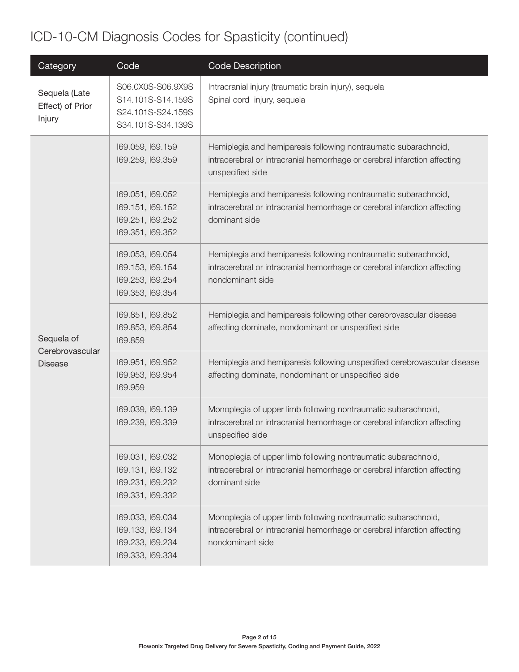# ICD-10-CM Diagnosis Codes for Spasticity (continued)

| Category                                        | Code                                                                             | <b>Code Description</b>                                                                                                                                          |
|-------------------------------------------------|----------------------------------------------------------------------------------|------------------------------------------------------------------------------------------------------------------------------------------------------------------|
| Sequela (Late<br>Effect) of Prior<br>Injury     | S06.0X0S-S06.9X9S<br>S14.101S-S14.159S<br>S24.101S-S24.159S<br>S34.101S-S34.139S | Intracranial injury (traumatic brain injury), sequela<br>Spinal cord injury, sequela                                                                             |
| Sequela of<br>Cerebrovascular<br><b>Disease</b> | 169.059, 169.159<br>169.259, 169.359                                             | Hemiplegia and hemiparesis following nontraumatic subarachnoid,<br>intracerebral or intracranial hemorrhage or cerebral infarction affecting<br>unspecified side |
|                                                 | 169.051, 169.052<br>169.151, 169.152<br>169.251, 169.252<br>169.351, 169.352     | Hemiplegia and hemiparesis following nontraumatic subarachnoid,<br>intracerebral or intracranial hemorrhage or cerebral infarction affecting<br>dominant side    |
|                                                 | 169.053, 169.054<br>169.153, 169.154<br>169.253, 169.254<br>169.353, 169.354     | Hemiplegia and hemiparesis following nontraumatic subarachnoid,<br>intracerebral or intracranial hemorrhage or cerebral infarction affecting<br>nondominant side |
|                                                 | 169.851, 169.852<br>169.853, 169.854<br>169.859                                  | Hemiplegia and hemiparesis following other cerebrovascular disease<br>affecting dominate, nondominant or unspecified side                                        |
|                                                 | 169.951, 169.952<br>169.953, 169.954<br>169.959                                  | Hemiplegia and hemiparesis following unspecified cerebrovascular disease<br>affecting dominate, nondominant or unspecified side                                  |
|                                                 | 169.039, 169.139<br>169.239, 169.339                                             | Monoplegia of upper limb following nontraumatic subarachnoid,<br>intracerebral or intracranial hemorrhage or cerebral infarction affecting<br>unspecified side   |
|                                                 | 169.031, 169.032<br>169.131, 169.132<br>169.231, 169.232<br>169.331, 169.332     | Monoplegia of upper limb following nontraumatic subarachnoid,<br>intracerebral or intracranial hemorrhage or cerebral infarction affecting<br>dominant side      |
|                                                 | 169.033, 169.034<br>169.133, 169.134<br>169.233, 169.234<br>169.333, 169.334     | Monoplegia of upper limb following nontraumatic subarachnoid,<br>intracerebral or intracranial hemorrhage or cerebral infarction affecting<br>nondominant side   |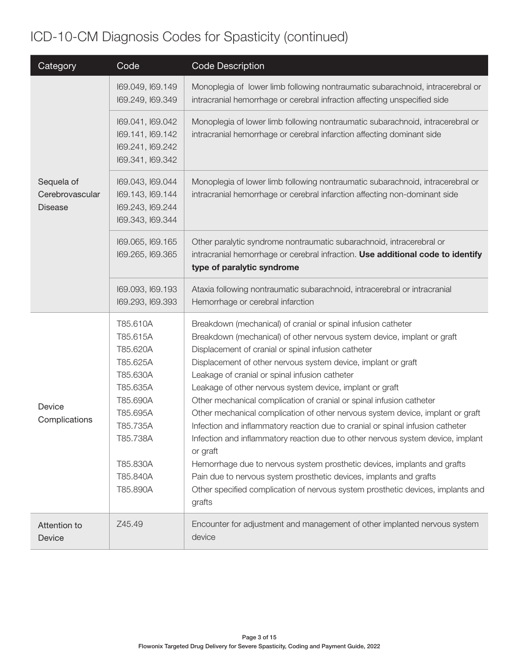# ICD-10-CM Diagnosis Codes for Spasticity (continued)

| Category                                        | Code                                                                                                                                                     | <b>Code Description</b>                                                                                                                                                                                                                                                                                                                                                                                                                                                                                                                                                                                                                                                                                                                                                                                                                                                                                                                                                  |
|-------------------------------------------------|----------------------------------------------------------------------------------------------------------------------------------------------------------|--------------------------------------------------------------------------------------------------------------------------------------------------------------------------------------------------------------------------------------------------------------------------------------------------------------------------------------------------------------------------------------------------------------------------------------------------------------------------------------------------------------------------------------------------------------------------------------------------------------------------------------------------------------------------------------------------------------------------------------------------------------------------------------------------------------------------------------------------------------------------------------------------------------------------------------------------------------------------|
|                                                 | 169.049, 169.149<br>169.249, 169.349                                                                                                                     | Monoplegia of lower limb following nontraumatic subarachnoid, intracerebral or<br>intracranial hemorrhage or cerebral infraction affecting unspecified side                                                                                                                                                                                                                                                                                                                                                                                                                                                                                                                                                                                                                                                                                                                                                                                                              |
| Sequela of<br>Cerebrovascular<br><b>Disease</b> | 169.041, 169.042<br>169.141, 169.142<br>169.241, 169.242<br>169.341, 169.342                                                                             | Monoplegia of lower limb following nontraumatic subarachnoid, intracerebral or<br>intracranial hemorrhage or cerebral infarction affecting dominant side                                                                                                                                                                                                                                                                                                                                                                                                                                                                                                                                                                                                                                                                                                                                                                                                                 |
|                                                 | 169.043, 169.044<br>169.143, 169.144<br>169.243, 169.244<br>169.343, 169.344                                                                             | Monoplegia of lower limb following nontraumatic subarachnoid, intracerebral or<br>intracranial hemorrhage or cerebral infarction affecting non-dominant side                                                                                                                                                                                                                                                                                                                                                                                                                                                                                                                                                                                                                                                                                                                                                                                                             |
|                                                 | 169.065, 169.165<br>169.265, 169.365                                                                                                                     | Other paralytic syndrome nontraumatic subarachnoid, intracerebral or<br>intracranial hemorrhage or cerebral infraction. Use additional code to identify<br>type of paralytic syndrome                                                                                                                                                                                                                                                                                                                                                                                                                                                                                                                                                                                                                                                                                                                                                                                    |
|                                                 | 169.093, 169.193<br>169.293, 169.393                                                                                                                     | Ataxia following nontraumatic subarachnoid, intracerebral or intracranial<br>Hemorrhage or cerebral infarction                                                                                                                                                                                                                                                                                                                                                                                                                                                                                                                                                                                                                                                                                                                                                                                                                                                           |
| Device<br>Complications                         | T85.610A<br>T85.615A<br>T85.620A<br>T85.625A<br>T85.630A<br>T85.635A<br>T85.690A<br>T85.695A<br>T85.735A<br>T85.738A<br>T85.830A<br>T85.840A<br>T85.890A | Breakdown (mechanical) of cranial or spinal infusion catheter<br>Breakdown (mechanical) of other nervous system device, implant or graft<br>Displacement of cranial or spinal infusion catheter<br>Displacement of other nervous system device, implant or graft<br>Leakage of cranial or spinal infusion catheter<br>Leakage of other nervous system device, implant or graft<br>Other mechanical complication of cranial or spinal infusion catheter<br>Other mechanical complication of other nervous system device, implant or graft<br>Infection and inflammatory reaction due to cranial or spinal infusion catheter<br>Infection and inflammatory reaction due to other nervous system device, implant<br>or graft<br>Hemorrhage due to nervous system prosthetic devices, implants and grafts<br>Pain due to nervous system prosthetic devices, implants and grafts<br>Other specified complication of nervous system prosthetic devices, implants and<br>grafts |
| Attention to<br>Device                          | Z45.49                                                                                                                                                   | Encounter for adjustment and management of other implanted nervous system<br>device                                                                                                                                                                                                                                                                                                                                                                                                                                                                                                                                                                                                                                                                                                                                                                                                                                                                                      |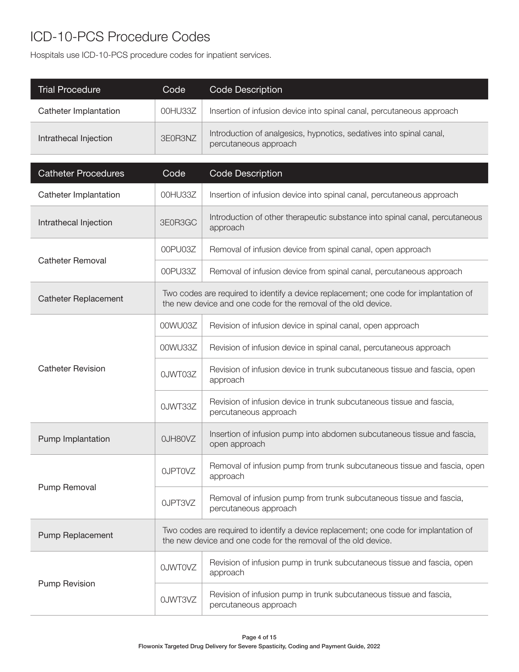### ICD-10-PCS Procedure Codes

Hospitals use ICD-10-PCS procedure codes for inpatient services.

| <b>Trial Procedure</b>      | Code           | Code Description                                                                                                                                        |
|-----------------------------|----------------|---------------------------------------------------------------------------------------------------------------------------------------------------------|
| Catheter Implantation       | 00HU33Z        | Insertion of infusion device into spinal canal, percutaneous approach                                                                                   |
| Intrathecal Injection       | 3E0R3NZ        | Introduction of analgesics, hypnotics, sedatives into spinal canal,<br>percutaneous approach                                                            |
| <b>Catheter Procedures</b>  | Code           | <b>Code Description</b>                                                                                                                                 |
| Catheter Implantation       | 00HU33Z        | Insertion of infusion device into spinal canal, percutaneous approach                                                                                   |
| Intrathecal Injection       | 3E0R3GC        | Introduction of other therapeutic substance into spinal canal, percutaneous<br>approach                                                                 |
|                             | 00PU03Z        | Removal of infusion device from spinal canal, open approach                                                                                             |
| <b>Catheter Removal</b>     | 00PU33Z        | Removal of infusion device from spinal canal, percutaneous approach                                                                                     |
| <b>Catheter Replacement</b> |                | Two codes are required to identify a device replacement; one code for implantation of<br>the new device and one code for the removal of the old device. |
|                             | 00WU03Z        | Revision of infusion device in spinal canal, open approach                                                                                              |
|                             | 00WU33Z        | Revision of infusion device in spinal canal, percutaneous approach                                                                                      |
| <b>Catheter Revision</b>    | OJWT03Z        | Revision of infusion device in trunk subcutaneous tissue and fascia, open<br>approach                                                                   |
|                             | OJWT33Z        | Revision of infusion device in trunk subcutaneous tissue and fascia,<br>percutaneous approach                                                           |
| Pump Implantation           | OJH80VZ        | Insertion of infusion pump into abdomen subcutaneous tissue and fascia,<br>open approach                                                                |
|                             | <b>OJPTOVZ</b> | Removal of infusion pump from trunk subcutaneous tissue and fascia, open<br>approach                                                                    |
| Pump Removal                | OJPT3VZ        | Removal of infusion pump from trunk subcutaneous tissue and fascia,<br>percutaneous approach                                                            |
| Pump Replacement            |                | Two codes are required to identify a device replacement; one code for implantation of<br>the new device and one code for the removal of the old device. |
|                             | <b>OJWTOVZ</b> | Revision of infusion pump in trunk subcutaneous tissue and fascia, open<br>approach                                                                     |
| <b>Pump Revision</b>        | 0JWT3VZ        | Revision of infusion pump in trunk subcutaneous tissue and fascia,<br>percutaneous approach                                                             |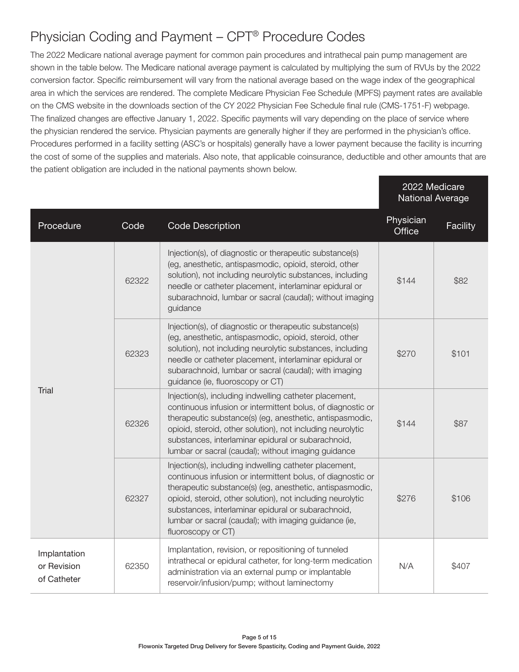### Physician Coding and Payment – CPT® Procedure Codes

The 2022 Medicare national average payment for common pain procedures and intrathecal pain pump management are shown in the table below. The Medicare national average payment is calculated by multiplying the sum of RVUs by the 2022 conversion factor. Specific reimbursement will vary from the national average based on the wage index of the geographical area in which the services are rendered. The complete Medicare Physician Fee Schedule (MPFS) payment rates are available on the CMS website in the downloads section of the CY 2022 Physician Fee Schedule final rule (CMS-1751-F) webpage. The finalized changes are effective January 1, 2022. Specific payments will vary depending on the place of service where the physician rendered the service. Physician payments are generally higher if they are performed in the physician's office. Procedures performed in a facility setting (ASC's or hospitals) generally have a lower payment because the facility is incurring the cost of some of the supplies and materials. Also note, that applicable coinsurance, deductible and other amounts that are the patient obligation are included in the national payments shown below.

|                                            |       |                                                                                                                                                                                                                                                                                                                                                                                      | 2022 Medicare<br><b>National Average</b> |          |
|--------------------------------------------|-------|--------------------------------------------------------------------------------------------------------------------------------------------------------------------------------------------------------------------------------------------------------------------------------------------------------------------------------------------------------------------------------------|------------------------------------------|----------|
| Procedure                                  | Code  | <b>Code Description</b>                                                                                                                                                                                                                                                                                                                                                              | Physician<br>Office                      | Facility |
| <b>Trial</b>                               | 62322 | Injection(s), of diagnostic or therapeutic substance(s)<br>(eg, anesthetic, antispasmodic, opioid, steroid, other<br>solution), not including neurolytic substances, including<br>needle or catheter placement, interlaminar epidural or<br>subarachnoid, lumbar or sacral (caudal); without imaging<br>guidance                                                                     | \$144                                    | \$82     |
|                                            | 62323 | Injection(s), of diagnostic or therapeutic substance(s)<br>(eg, anesthetic, antispasmodic, opioid, steroid, other<br>solution), not including neurolytic substances, including<br>needle or catheter placement, interlaminar epidural or<br>subarachnoid, lumbar or sacral (caudal); with imaging<br>guidance (ie, fluoroscopy or CT)                                                |                                          | \$101    |
|                                            | 62326 | Injection(s), including indwelling catheter placement,<br>continuous infusion or intermittent bolus, of diagnostic or<br>therapeutic substance(s) (eg, anesthetic, antispasmodic,<br>opioid, steroid, other solution), not including neurolytic<br>substances, interlaminar epidural or subarachnoid,<br>lumbar or sacral (caudal); without imaging guidance                         | \$144                                    | \$87     |
|                                            | 62327 | Injection(s), including indwelling catheter placement,<br>continuous infusion or intermittent bolus, of diagnostic or<br>therapeutic substance(s) (eg, anesthetic, antispasmodic,<br>opioid, steroid, other solution), not including neurolytic<br>substances, interlaminar epidural or subarachnoid,<br>lumbar or sacral (caudal); with imaging guidance (ie,<br>fluoroscopy or CT) | \$276                                    | \$106    |
| Implantation<br>or Revision<br>of Catheter | 62350 | Implantation, revision, or repositioning of tunneled<br>intrathecal or epidural catheter, for long-term medication<br>administration via an external pump or implantable<br>reservoir/infusion/pump; without laminectomy                                                                                                                                                             | N/A                                      | \$407    |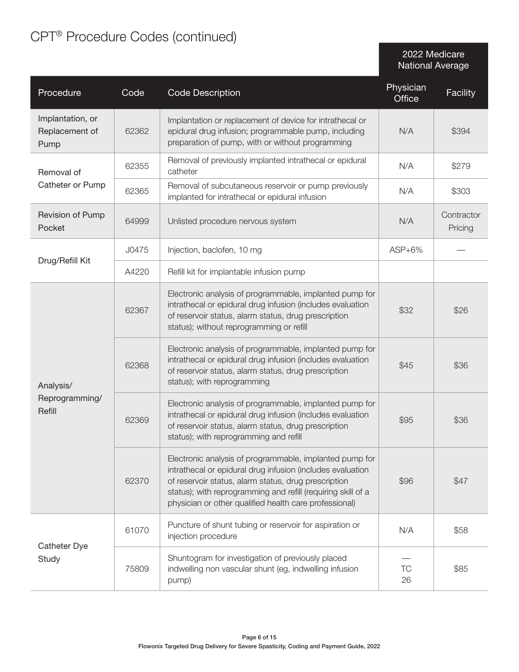# CPT® Procedure Codes (continued)

2022 Medicare National Average

| Procedure                                  | Code  | <b>Code Description</b>                                                                                                                                                                                                                                                                                 | Physician<br><b>Office</b> | Facility              |
|--------------------------------------------|-------|---------------------------------------------------------------------------------------------------------------------------------------------------------------------------------------------------------------------------------------------------------------------------------------------------------|----------------------------|-----------------------|
| Implantation, or<br>Replacement of<br>Pump | 62362 | Implantation or replacement of device for intrathecal or<br>epidural drug infusion; programmable pump, including<br>preparation of pump, with or without programming                                                                                                                                    | N/A                        | \$394                 |
| Removal of                                 | 62355 | Removal of previously implanted intrathecal or epidural<br>catheter                                                                                                                                                                                                                                     | N/A                        | \$279                 |
| Catheter or Pump                           | 62365 | Removal of subcutaneous reservoir or pump previously<br>implanted for intrathecal or epidural infusion                                                                                                                                                                                                  | N/A                        | \$303                 |
| Revision of Pump<br>Pocket                 | 64999 | Unlisted procedure nervous system                                                                                                                                                                                                                                                                       | N/A                        | Contractor<br>Pricing |
| Drug/Refill Kit                            | J0475 | Injection, baclofen, 10 mg                                                                                                                                                                                                                                                                              | $ASP+6\%$                  |                       |
|                                            | A4220 | Refill kit for implantable infusion pump                                                                                                                                                                                                                                                                |                            |                       |
| Analysis/<br>Reprogramming/<br>Refill      | 62367 | Electronic analysis of programmable, implanted pump for<br>intrathecal or epidural drug infusion (includes evaluation<br>of reservoir status, alarm status, drug prescription<br>status); without reprogramming or refill                                                                               | \$32                       | \$26                  |
|                                            | 62368 | Electronic analysis of programmable, implanted pump for<br>intrathecal or epidural drug infusion (includes evaluation<br>of reservoir status, alarm status, drug prescription<br>status); with reprogramming                                                                                            | \$45                       | \$36                  |
|                                            | 62369 | Electronic analysis of programmable, implanted pump for<br>intrathecal or epidural drug infusion (includes evaluation<br>of reservoir status, alarm status, drug prescription<br>status); with reprogramming and refill                                                                                 | \$95                       | \$36                  |
|                                            | 62370 | Electronic analysis of programmable, implanted pump for<br>intrathecal or epidural drug infusion (includes evaluation<br>of reservoir status, alarm status, drug prescription<br>status); with reprogramming and refill (requiring skill of a<br>physician or other qualified health care professional) | \$96                       | \$47                  |
| Catheter Dye                               | 61070 | Puncture of shunt tubing or reservoir for aspiration or<br>injection procedure                                                                                                                                                                                                                          | N/A                        | \$58                  |
| Study                                      | 75809 | Shuntogram for investigation of previously placed<br>indwelling non vascular shunt (eg, indwelling infusion<br>pump)                                                                                                                                                                                    | TC<br>26                   | \$85                  |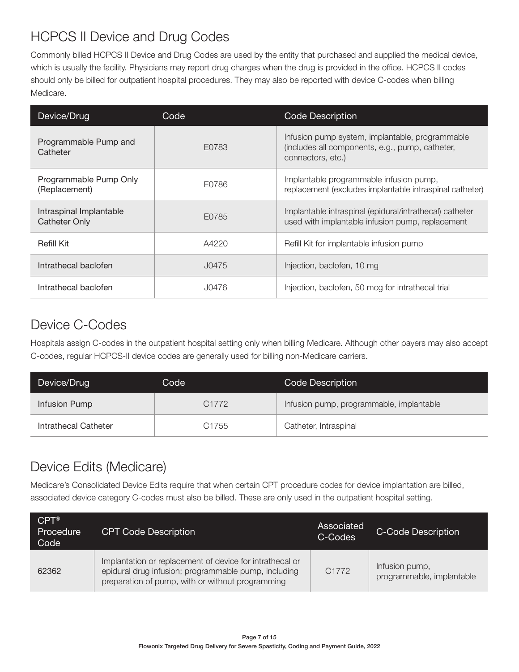### HCPCS II Device and Drug Codes

Commonly billed HCPCS II Device and Drug Codes are used by the entity that purchased and supplied the medical device, which is usually the facility. Physicians may report drug charges when the drug is provided in the office. HCPCS II codes should only be billed for outpatient hospital procedures. They may also be reported with device C-codes when billing Medicare.

| Device/Drug                              | Code  | Code Description                                                                                                        |
|------------------------------------------|-------|-------------------------------------------------------------------------------------------------------------------------|
| Programmable Pump and<br>Catheter        | E0783 | Infusion pump system, implantable, programmable<br>(includes all components, e.g., pump, catheter,<br>connectors, etc.) |
| Programmable Pump Only<br>(Replacement)  | E0786 | Implantable programmable infusion pump,<br>replacement (excludes implantable intraspinal catheter)                      |
| Intraspinal Implantable<br>Catheter Only | E0785 | Implantable intraspinal (epidural/intrathecal) catheter<br>used with implantable infusion pump, replacement             |
| Refill Kit                               | A4220 | Refill Kit for implantable infusion pump                                                                                |
| Intrathecal baclofen                     | J0475 | Injection, baclofen, 10 mg                                                                                              |
| Intrathecal baclofen                     | J0476 | Injection, baclofen, 50 mcg for intrathecal trial                                                                       |

### Device C-Codes

Hospitals assign C-codes in the outpatient hospital setting only when billing Medicare. Although other payers may also accept C-codes, regular HCPCS-II device codes are generally used for billing non-Medicare carriers.

| Device/Drug          | Code  | Code Description                         |  |  |
|----------------------|-------|------------------------------------------|--|--|
| Infusion Pump        | C1772 | Infusion pump, programmable, implantable |  |  |
| Intrathecal Catheter | C1755 | Catheter, Intraspinal                    |  |  |

#### Device Edits (Medicare)

Medicare's Consolidated Device Edits require that when certain CPT procedure codes for device implantation are billed, associated device category C-codes must also be billed. These are only used in the outpatient hospital setting.

| $CPT^{\circledR}$<br>Procedure<br>Code | <b>CPT Code Description</b>                                                                                                                                          | Associated<br>C-Codes | <b>C-Code Description</b>                   |
|----------------------------------------|----------------------------------------------------------------------------------------------------------------------------------------------------------------------|-----------------------|---------------------------------------------|
| 62362                                  | Implantation or replacement of device for intrathecal or<br>epidural drug infusion; programmable pump, including<br>preparation of pump, with or without programming | C <sub>1772</sub>     | Infusion pump,<br>programmable, implantable |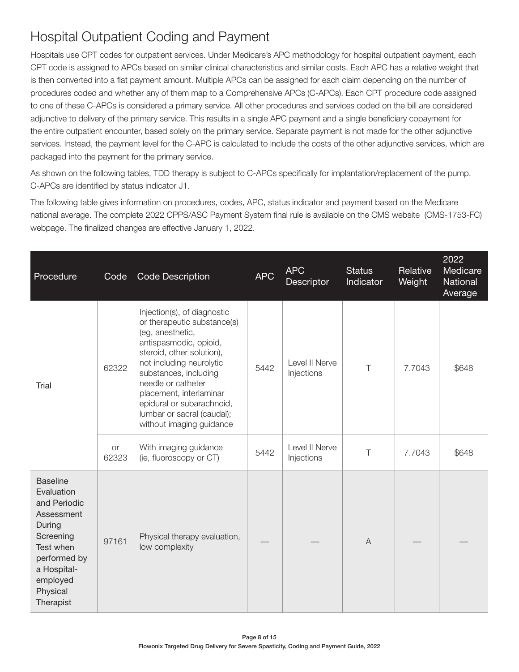### Hospital Outpatient Coding and Payment

Hospitals use CPT codes for outpatient services. Under Medicare's APC methodology for hospital outpatient payment, each CPT code is assigned to APCs based on similar clinical characteristics and similar costs. Each APC has a relative weight that is then converted into a flat payment amount. Multiple APCs can be assigned for each claim depending on the number of procedures coded and whether any of them map to a Comprehensive APCs (C-APCs). Each CPT procedure code assigned to one of these C-APCs is considered a primary service. All other procedures and services coded on the bill are considered adjunctive to delivery of the primary service. This results in a single APC payment and a single beneficiary copayment for the entire outpatient encounter, based solely on the primary service. Separate payment is not made for the other adjunctive services. Instead, the payment level for the C-APC is calculated to include the costs of the other adjunctive services, which are packaged into the payment for the primary service.

As shown on the following tables, TDD therapy is subject to C-APCs specifically for implantation/replacement of the pump. C-APCs are identified by status indicator J1.

The following table gives information on procedures, codes, APC, status indicator and payment based on the Medicare national average. The complete 2022 CPPS/ASC Payment System final rule is available on the CMS website (CMS-1753-FC) webpage. The finalized changes are effective January 1, 2022.

| Procedure                                                                                                                                                           | Code        | Code Description                                                                                                                                                                                                                                                                                                                   | <b>APC</b> | <b>APC</b><br>Descriptor     | <b>Status</b><br>Indicator | Relative<br>Weight | 2022<br>Medicare<br>National<br>Average |
|---------------------------------------------------------------------------------------------------------------------------------------------------------------------|-------------|------------------------------------------------------------------------------------------------------------------------------------------------------------------------------------------------------------------------------------------------------------------------------------------------------------------------------------|------------|------------------------------|----------------------------|--------------------|-----------------------------------------|
| Trial                                                                                                                                                               | 62322       | Injection(s), of diagnostic<br>or therapeutic substance(s)<br>(eg, anesthetic,<br>antispasmodic, opioid,<br>steroid, other solution),<br>not including neurolytic<br>substances, including<br>needle or catheter<br>placement, interlaminar<br>epidural or subarachnoid,<br>lumbar or sacral (caudal);<br>without imaging guidance | 5442       | Level II Nerve<br>Injections | Τ                          | 7.7043             | \$648                                   |
|                                                                                                                                                                     | or<br>62323 | With imaging guidance<br>(ie, fluoroscopy or CT)                                                                                                                                                                                                                                                                                   | 5442       | Level II Nerve<br>Injections | $\top$                     | 7.7043             | \$648                                   |
| <b>Baseline</b><br>Evaluation<br>and Periodic<br>Assessment<br>During<br>Screening<br>Test when<br>performed by<br>a Hospital-<br>employed<br>Physical<br>Therapist | 97161       | Physical therapy evaluation,<br>low complexity                                                                                                                                                                                                                                                                                     |            |                              | $\overline{A}$             |                    |                                         |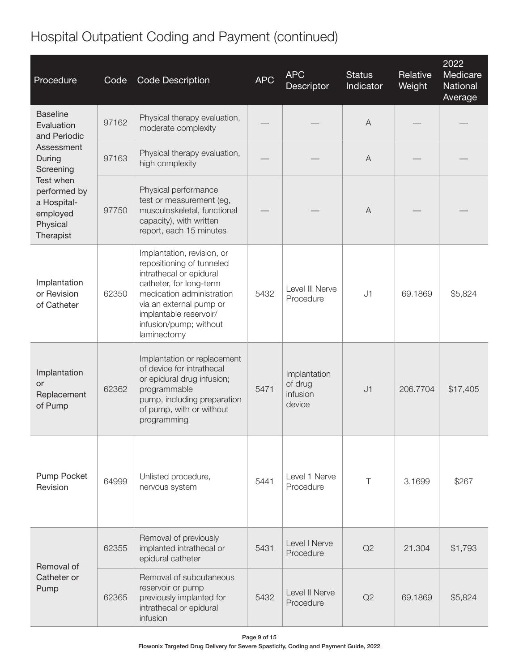# Hospital Outpatient Coding and Payment (continued)

| Procedure                                                                     | Code  | <b>Code Description</b>                                                                                                                                                                                                                  | <b>APC</b> | <b>APC</b><br>Descriptor                      | <b>Status</b><br>Indicator | Relative<br>Weight | 2022<br>Medicare<br>National<br>Average |
|-------------------------------------------------------------------------------|-------|------------------------------------------------------------------------------------------------------------------------------------------------------------------------------------------------------------------------------------------|------------|-----------------------------------------------|----------------------------|--------------------|-----------------------------------------|
| <b>Baseline</b><br>Evaluation<br>and Periodic                                 | 97162 | Physical therapy evaluation,<br>moderate complexity                                                                                                                                                                                      |            |                                               | A                          |                    |                                         |
| Assessment<br>During<br>Screening                                             | 97163 | Physical therapy evaluation,<br>high complexity                                                                                                                                                                                          |            |                                               | A                          |                    |                                         |
| Test when<br>performed by<br>a Hospital-<br>employed<br>Physical<br>Therapist | 97750 | Physical performance<br>test or measurement (eg,<br>musculoskeletal, functional<br>capacity), with written<br>report, each 15 minutes                                                                                                    |            |                                               | $\overline{A}$             |                    |                                         |
| Implantation<br>or Revision<br>of Catheter                                    | 62350 | Implantation, revision, or<br>repositioning of tunneled<br>intrathecal or epidural<br>catheter, for long-term<br>medication administration<br>via an external pump or<br>implantable reservoir/<br>infusion/pump; without<br>laminectomy | 5432       | Level III Nerve<br>Procedure                  | J1                         | 69.1869            | \$5,824                                 |
| Implantation<br>or<br>Replacement<br>of Pump                                  | 62362 | Implantation or replacement<br>of device for intrathecal<br>or epidural drug infusion;<br>programmable<br>pump, including preparation<br>of pump, with or without<br>programming                                                         | 5471       | Implantation<br>of drug<br>infusion<br>device | J1                         | 206.7704           | \$17,405                                |
| Pump Pocket<br>Revision                                                       | 64999 | Unlisted procedure,<br>nervous system                                                                                                                                                                                                    | 5441       | Level 1 Nerve<br>Procedure                    | $\top$                     | 3.1699             | \$267                                   |
| Removal of                                                                    | 62355 | Removal of previously<br>implanted intrathecal or<br>epidural catheter                                                                                                                                                                   | 5431       | Level I Nerve<br>Procedure                    | Q2                         | 21.304             | \$1,793                                 |
| Catheter or<br>Pump                                                           | 62365 | Removal of subcutaneous<br>reservoir or pump<br>previously implanted for<br>intrathecal or epidural<br>infusion                                                                                                                          | 5432       | Level II Nerve<br>Procedure                   | Q2                         | 69.1869            | \$5,824                                 |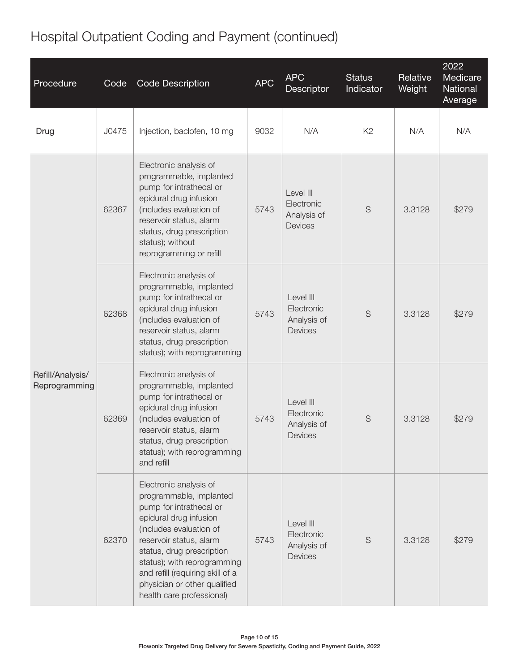# Hospital Outpatient Coding and Payment (continued)

| Procedure                         | Code  | <b>Code Description</b>                                                                                                                                                                                                                                                                                                   | <b>APC</b> | <b>APC</b><br>Descriptor                                 | <b>Status</b><br>Indicator | Relative<br>Weight | 2022<br>Medicare<br>National<br>Average |
|-----------------------------------|-------|---------------------------------------------------------------------------------------------------------------------------------------------------------------------------------------------------------------------------------------------------------------------------------------------------------------------------|------------|----------------------------------------------------------|----------------------------|--------------------|-----------------------------------------|
| Drug                              | J0475 | Injection, baclofen, 10 mg                                                                                                                                                                                                                                                                                                | 9032       | N/A                                                      | K <sub>2</sub>             | N/A                | N/A                                     |
| Refill/Analysis/<br>Reprogramming | 62367 | Electronic analysis of<br>programmable, implanted<br>pump for intrathecal or<br>epidural drug infusion<br>(includes evaluation of<br>reservoir status, alarm<br>status, drug prescription<br>status); without<br>reprogramming or refill                                                                                  | 5743       | Level III<br>Electronic<br>Analysis of<br><b>Devices</b> | S                          | 3.3128             | \$279                                   |
|                                   | 62368 | Electronic analysis of<br>programmable, implanted<br>pump for intrathecal or<br>epidural drug infusion<br>(includes evaluation of<br>reservoir status, alarm<br>status, drug prescription<br>status); with reprogramming                                                                                                  | 5743       | Level III<br>Electronic<br>Analysis of<br>Devices        | S                          | 3.3128             | \$279                                   |
|                                   | 62369 | Electronic analysis of<br>programmable, implanted<br>pump for intrathecal or<br>epidural drug infusion<br>(includes evaluation of<br>reservoir status, alarm<br>status, drug prescription<br>status); with reprogramming<br>and refill                                                                                    | 5743       | Level III<br>Electronic<br>Analysis of<br>Devices        | S                          | 3.3128             | \$279                                   |
|                                   | 62370 | Electronic analysis of<br>programmable, implanted<br>pump for intrathecal or<br>epidural drug infusion<br>(includes evaluation of<br>reservoir status, alarm<br>status, drug prescription<br>status); with reprogramming<br>and refill (requiring skill of a<br>physician or other qualified<br>health care professional) | 5743       | Level III<br>Electronic<br>Analysis of<br>Devices        | $\mathsf S$                | 3.3128             | \$279                                   |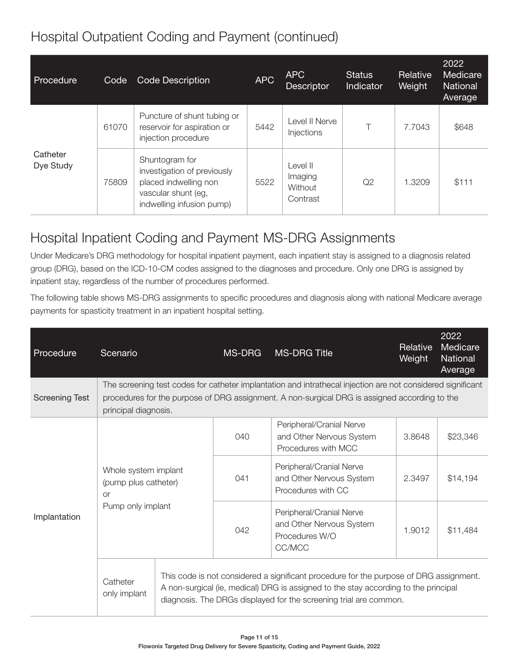### Hospital Outpatient Coding and Payment (continued)

| Procedure             | Code  | <b>Code Description</b>                                                                                                    | <b>APC</b> | <b>APC</b><br>Descriptor                   | <b>Status</b><br><b>Indicator</b> | Relative<br>Weight | 2022<br>Medicare<br><b>National</b><br>Average |
|-----------------------|-------|----------------------------------------------------------------------------------------------------------------------------|------------|--------------------------------------------|-----------------------------------|--------------------|------------------------------------------------|
| Catheter<br>Dye Study | 61070 | Puncture of shunt tubing or<br>reservoir for aspiration or<br>injection procedure                                          | 5442       | Level II Nerve<br>Injections               |                                   | 7.7043             | \$648                                          |
|                       | 75809 | Shuntogram for<br>investigation of previously<br>placed indwelling non<br>vascular shunt (eg,<br>indwelling infusion pump) | 5522       | Level II<br>Imaging<br>Without<br>Contrast | Q2                                | 1.3209             | \$111                                          |

## Hospital Inpatient Coding and Payment MS-DRG Assignments

Under Medicare's DRG methodology for hospital inpatient payment, each inpatient stay is assigned to a diagnosis related group (DRG), based on the ICD-10-CM codes assigned to the diagnoses and procedure. Only one DRG is assigned by inpatient stay, regardless of the number of procedures performed.

The following table shows MS-DRG assignments to specific procedures and diagnosis along with national Medicare average payments for spasticity treatment in an inpatient hospital setting.

| Procedure             | Scenario                                                  |  | MS-DRG                                                                                                                                                                                                       | <b>MS-DRG Title</b>                                                                                                                                                                                                                                | Relative<br>Weight | 2022<br>Medicare<br>National<br>Average |  |  |
|-----------------------|-----------------------------------------------------------|--|--------------------------------------------------------------------------------------------------------------------------------------------------------------------------------------------------------------|----------------------------------------------------------------------------------------------------------------------------------------------------------------------------------------------------------------------------------------------------|--------------------|-----------------------------------------|--|--|
| <b>Screening Test</b> | principal diagnosis.                                      |  | The screening test codes for catheter implantation and intrathecal injection are not considered significant<br>procedures for the purpose of DRG assignment. A non-surgical DRG is assigned according to the |                                                                                                                                                                                                                                                    |                    |                                         |  |  |
| Implantation          |                                                           |  | 040                                                                                                                                                                                                          | Peripheral/Cranial Nerve<br>and Other Nervous System<br>Procedures with MCC                                                                                                                                                                        | 3.8648             | \$23,346                                |  |  |
|                       | Whole system implant<br>(pump plus catheter)<br><b>or</b> |  | 041                                                                                                                                                                                                          | Peripheral/Cranial Nerve<br>and Other Nervous System<br>Procedures with CC                                                                                                                                                                         | 2.3497             | \$14,194                                |  |  |
|                       | Pump only implant                                         |  | 042                                                                                                                                                                                                          | Peripheral/Cranial Nerve<br>and Other Nervous System<br>Procedures W/O<br>CC/MCC                                                                                                                                                                   | 1.9012             | \$11,484                                |  |  |
|                       | Catheter<br>only implant                                  |  |                                                                                                                                                                                                              | This code is not considered a significant procedure for the purpose of DRG assignment.<br>A non-surgical (ie, medical) DRG is assigned to the stay according to the principal<br>diagnosis. The DRGs displayed for the screening trial are common. |                    |                                         |  |  |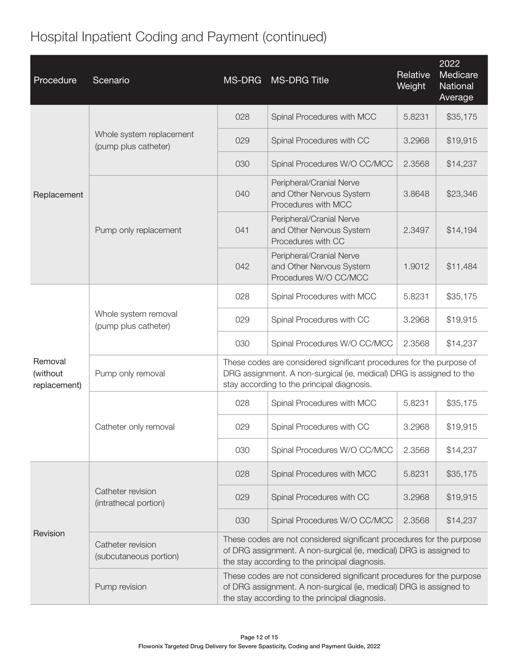# Hospital Inpatient Coding and Payment (continued)

| Procedure                           | Scenario                                         | <b>MS-DRG</b>                                                                                                                                                                                 | <b>MS-DRG Title</b>                                                                                                                                                                       | Relative<br>Weight | 2022<br>Medicare<br>National<br>Average |  |
|-------------------------------------|--------------------------------------------------|-----------------------------------------------------------------------------------------------------------------------------------------------------------------------------------------------|-------------------------------------------------------------------------------------------------------------------------------------------------------------------------------------------|--------------------|-----------------------------------------|--|
| Replacement                         |                                                  | 028                                                                                                                                                                                           | Spinal Procedures with MCC                                                                                                                                                                | 5.8231             | \$35,175                                |  |
|                                     | Whole system replacement<br>(pump plus catheter) | 029                                                                                                                                                                                           | Spinal Procedures with CC                                                                                                                                                                 | 3.2968             | \$19,915                                |  |
|                                     |                                                  | 030                                                                                                                                                                                           | Spinal Procedures W/O CC/MCC                                                                                                                                                              | 2.3568             | \$14,237                                |  |
|                                     |                                                  | 040                                                                                                                                                                                           | Peripheral/Cranial Nerve<br>and Other Nervous System<br>Procedures with MCC                                                                                                               | 3.8648             | \$23,346                                |  |
|                                     | Pump only replacement                            | 041                                                                                                                                                                                           | Peripheral/Cranial Nerve<br>and Other Nervous System<br>Procedures with CC                                                                                                                | 2.3497             | \$14,194                                |  |
|                                     |                                                  | 042                                                                                                                                                                                           | Peripheral/Cranial Nerve<br>and Other Nervous System<br>Procedures W/O CC/MCC                                                                                                             | 1.9012             | \$11,484                                |  |
| Removal<br>(without<br>replacement) |                                                  | 028                                                                                                                                                                                           | Spinal Procedures with MCC                                                                                                                                                                | 5.8231             | \$35,175                                |  |
|                                     | Whole system removal<br>(pump plus catheter)     | 029                                                                                                                                                                                           | Spinal Procedures with CC                                                                                                                                                                 | 3.2968             | \$19,915                                |  |
|                                     |                                                  | 030                                                                                                                                                                                           | Spinal Procedures W/O CC/MCC                                                                                                                                                              | 2.3568             | \$14,237                                |  |
|                                     | Pump only removal                                |                                                                                                                                                                                               | These codes are considered significant procedures for the purpose of<br>DRG assignment. A non-surgical (ie, medical) DRG is assigned to the<br>stay according to the principal diagnosis. |                    |                                         |  |
|                                     |                                                  | 028                                                                                                                                                                                           | Spinal Procedures with MCC                                                                                                                                                                | 5.8231             | \$35,175                                |  |
|                                     | Catheter only removal                            | 029                                                                                                                                                                                           | Spinal Procedures with CC                                                                                                                                                                 | 3.2968             | \$19,915                                |  |
|                                     |                                                  | 030                                                                                                                                                                                           | Spinal Procedures W/O CC/MCC                                                                                                                                                              | 2.3568             | \$14,237                                |  |
| Revision                            |                                                  | 028                                                                                                                                                                                           | Spinal Procedures with MCC                                                                                                                                                                | 5.8231             | \$35,175                                |  |
|                                     | Catheter revision<br>(intrathecal portion)       | 029                                                                                                                                                                                           | Spinal Procedures with CC                                                                                                                                                                 | 3.2968             | \$19,915                                |  |
|                                     |                                                  | 030                                                                                                                                                                                           | Spinal Procedures W/O CC/MCC                                                                                                                                                              | 2.3568             | \$14,237                                |  |
|                                     | Catheter revision<br>(subcutaneous portion)      | These codes are not considered significant procedures for the purpose<br>of DRG assignment. A non-surgical (ie, medical) DRG is assigned to<br>the stay according to the principal diagnosis. |                                                                                                                                                                                           |                    |                                         |  |
|                                     | Pump revision                                    | These codes are not considered significant procedures for the purpose<br>of DRG assignment. A non-surgical (ie, medical) DRG is assigned to<br>the stay according to the principal diagnosis. |                                                                                                                                                                                           |                    |                                         |  |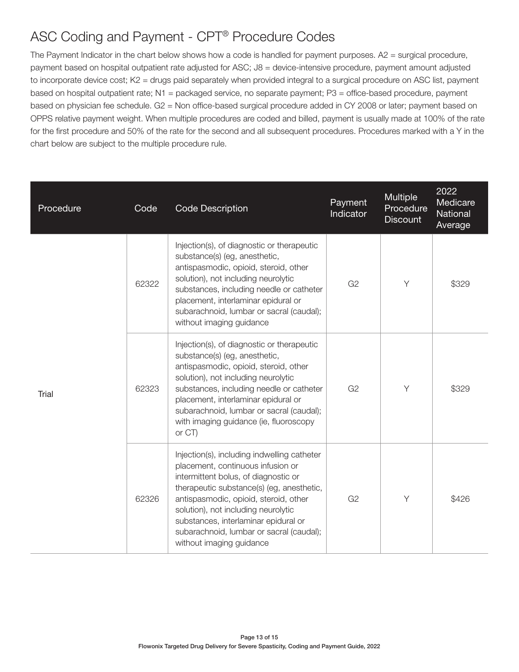### ASC Coding and Payment - CPT® Procedure Codes

The Payment Indicator in the chart below shows how a code is handled for payment purposes. A2 = surgical procedure, payment based on hospital outpatient rate adjusted for ASC; J8 = device-intensive procedure, payment amount adjusted to incorporate device cost; K2 = drugs paid separately when provided integral to a surgical procedure on ASC list, payment based on hospital outpatient rate; N1 = packaged service, no separate payment; P3 = office-based procedure, payment based on physician fee schedule. G2 = Non office-based surgical procedure added in CY 2008 or later; payment based on OPPS relative payment weight. When multiple procedures are coded and billed, payment is usually made at 100% of the rate for the first procedure and 50% of the rate for the second and all subsequent procedures. Procedures marked with a Y in the chart below are subject to the multiple procedure rule.

| Procedure | Code  | <b>Code Description</b>                                                                                                                                                                                                                                                                                                                                               | Payment<br>Indicator | <b>Multiple</b><br>Procedure<br><b>Discount</b> | 2022<br>Medicare<br>National<br>Average |
|-----------|-------|-----------------------------------------------------------------------------------------------------------------------------------------------------------------------------------------------------------------------------------------------------------------------------------------------------------------------------------------------------------------------|----------------------|-------------------------------------------------|-----------------------------------------|
| Trial     | 62322 | Injection(s), of diagnostic or therapeutic<br>substance(s) (eg, anesthetic,<br>antispasmodic, opioid, steroid, other<br>solution), not including neurolytic<br>substances, including needle or catheter<br>placement, interlaminar epidural or<br>subarachnoid, lumbar or sacral (caudal);<br>without imaging guidance                                                | G <sub>2</sub>       | Y                                               | \$329                                   |
|           | 62323 | Injection(s), of diagnostic or therapeutic<br>substance(s) (eg, anesthetic,<br>antispasmodic, opioid, steroid, other<br>solution), not including neurolytic<br>substances, including needle or catheter<br>placement, interlaminar epidural or<br>subarachnoid, lumbar or sacral (caudal);<br>with imaging guidance (ie, fluoroscopy<br>or CT)                        | G <sub>2</sub>       | Y                                               | \$329                                   |
|           | 62326 | Injection(s), including indwelling catheter<br>placement, continuous infusion or<br>intermittent bolus, of diagnostic or<br>therapeutic substance(s) (eg, anesthetic,<br>antispasmodic, opioid, steroid, other<br>solution), not including neurolytic<br>substances, interlaminar epidural or<br>subarachnoid, lumbar or sacral (caudal);<br>without imaging guidance | G <sub>2</sub>       | Y                                               | \$426                                   |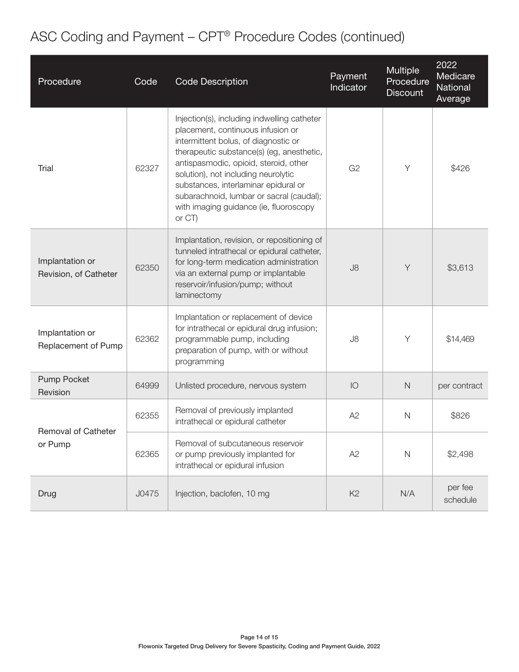# ASC Coding and Payment – CPT® Procedure Codes (continued)

| Procedure                                | Code  | <b>Code Description</b>                                                                                                                                                                                                                                                                                                                                                                       | Payment<br>Indicator | Multiple<br>Procedure<br><b>Discount</b> | 2022<br>Medicare<br>National<br>Average |
|------------------------------------------|-------|-----------------------------------------------------------------------------------------------------------------------------------------------------------------------------------------------------------------------------------------------------------------------------------------------------------------------------------------------------------------------------------------------|----------------------|------------------------------------------|-----------------------------------------|
| Trial                                    | 62327 | Injection(s), including indwelling catheter<br>placement, continuous infusion or<br>intermittent bolus, of diagnostic or<br>therapeutic substance(s) (eg, anesthetic,<br>antispasmodic, opioid, steroid, other<br>solution), not including neurolytic<br>substances, interlaminar epidural or<br>subarachnoid, lumbar or sacral (caudal);<br>with imaging guidance (ie, fluoroscopy<br>or CT) | G <sub>2</sub>       | Y                                        | \$426                                   |
| Implantation or<br>Revision, of Catheter | 62350 | Implantation, revision, or repositioning of<br>tunneled intrathecal or epidural catheter,<br>for long-term medication administration<br>via an external pump or implantable<br>reservoir/infusion/pump; without<br>laminectomy                                                                                                                                                                | J8                   | Y                                        | \$3,613                                 |
| Implantation or<br>Replacement of Pump   | 62362 | Implantation or replacement of device<br>for intrathecal or epidural drug infusion;<br>programmable pump, including<br>preparation of pump, with or without<br>programming                                                                                                                                                                                                                    | J8                   | Y                                        | \$14,469                                |
| Pump Pocket<br>Revision                  | 64999 | Unlisted procedure, nervous system                                                                                                                                                                                                                                                                                                                                                            | IO                   | $\mathsf{N}$                             | per contract                            |
| Removal of Catheter<br>or Pump           | 62355 | Removal of previously implanted<br>intrathecal or epidural catheter                                                                                                                                                                                                                                                                                                                           | A2                   | $\mathsf{N}$                             | \$826                                   |
|                                          | 62365 | Removal of subcutaneous reservoir<br>or pump previously implanted for<br>intrathecal or epidural infusion                                                                                                                                                                                                                                                                                     | A2                   | $\mathsf{N}$                             | \$2,498                                 |
| Drug                                     | J0475 | Injection, baclofen, 10 mg                                                                                                                                                                                                                                                                                                                                                                    | K <sub>2</sub>       | N/A                                      | per fee<br>schedule                     |